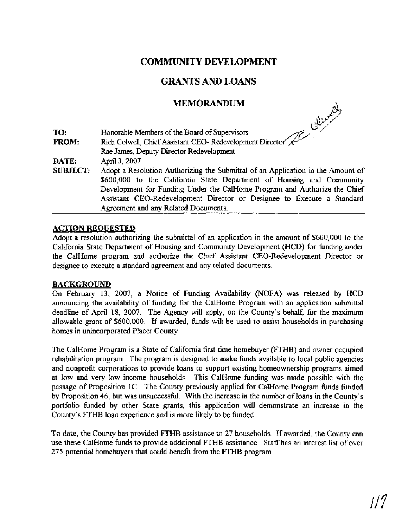## **COMMIJNJTY DEVELOPMENT**

# **GRANTS AND LOANS**

## **MEMORANDUM**

|                 | مستعملها                                                                                                                                                                                                                                                                                                        |
|-----------------|-----------------------------------------------------------------------------------------------------------------------------------------------------------------------------------------------------------------------------------------------------------------------------------------------------------------|
| TO:             | Honorable Members of the Board of Supervisors                                                                                                                                                                                                                                                                   |
| <b>FROM:</b>    | Rich Colwell, Chief Assistant CEO-Redevelopment Director                                                                                                                                                                                                                                                        |
|                 | Rae James, Deputy Director Redevelopment                                                                                                                                                                                                                                                                        |
| DATE:           | April 3, 2007                                                                                                                                                                                                                                                                                                   |
| <b>SUBJECT:</b> | Adopt a Resolution Authorizing the Submittal of an Application in the Amount of<br>\$600,000 to the California State Department of Housing and Community<br>Development for Funding Under the CalHome Program and Authorize the Chief<br>Assistant CEO-Redevelopment Director or Designee to Execute a Standard |
|                 | Agreement and any Related Documents.                                                                                                                                                                                                                                                                            |

#### **ACTION REQUESTED**

Adopt a resolution authorizing the submittal of an application in the amount of \$600,000 to the California State Department of Housing and Community Development (HCD) for funding under the CalHome program and authorize the Chief Assistant CEO-Redevelopment Director or designee to execute a standard agreement and any related documents.

#### BACKGROUND

On February 13, 2007, a Notice of Funding Availability (NOFA) was released by HCD announcing the availability of funding for the CalHome Program with an application submittal deadline of April 18, 2007. The Agency will apply, on the County's behalf, for the maximum allowable grant of \$600,000. If awarded, hnds will be used to assist households in purchasing homes in unincorporated Placer County.

The CalHome Program is a State of California first time homebuyer (FTHB) and owner occupied rehabilitation program. The program is designed to make funds available to local public agencies and nonprofit corporations to provide loans to support existing homeownership programs aimed at low and very low income households. This CalHome hnding was made possible with the passage of Proposition 1C. The County previously applied for CalHome Program hnds funded by Proposition 46, but was unsuccesshl. With the increase in the number of loans in the County's portfolio funded by other State grants, this application will demonstrate an increase in the County's FTHB loan experience and is more likely to be funded.

To date, the County has provided FTHB assistance to 27 households. If awarded, the County can use these CalHome funds to provide additional FTHB assistance. Staff has an interest list of over 275 potential homebuyers that could benefit from the FTHB program.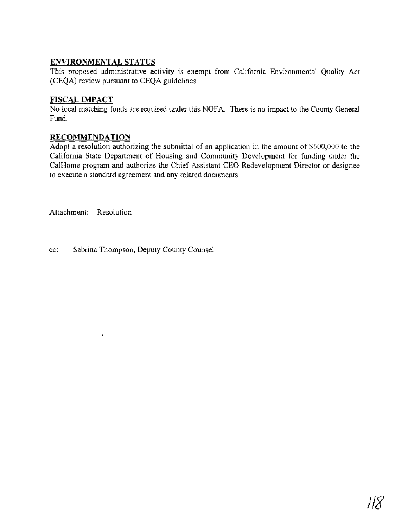## **ENVIRONMENTAL STATUS**

This proposed administrative activity is exempt from California Environmental Quality Act (CEQA) review pursuant to CEQA guidelines.

## **FISCAL IMPACT**

No local matching funds are required under this NOFA. There is no impact to the County General Fund.

### **RECOMMENDATION**

Adopt a resolution authorizing the submittal of an application in the amount of \$600,000 to the California State Department of Housing and Community Development for funding under the CalHome program and authorize the Chief Assistant CEO-Redevelopment Director or designee to execute a standard agreement and any related documents.

Attachment: Resolution

cc: Sabrina Thompson, Deputy County Counsel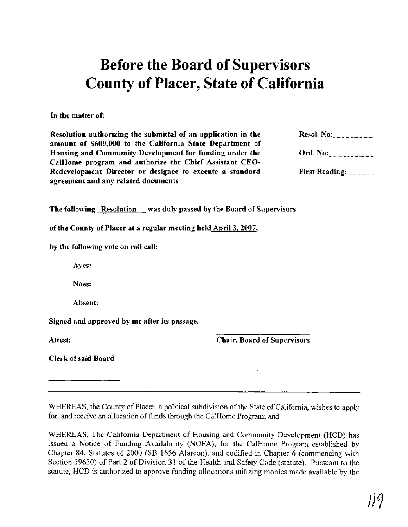# Before the Board of Supervisors County of Placer, State of California

In the matter of:

Resolution authorizing the submittal of an application in the amount of **\$600,000** to the California State Department of Housing and Community Development for funding under the CalHome program and authorize the Chief Assistant CEO-Redevelopment Director or designee to execute a standard agreement and any related documents

| Ord. No: |  |
|----------|--|
|          |  |

The following Resolution was duly passed by the Board of Supervisors

of the County of Placer at a regular meeting held April **3,2007,** 

by the following vote on roll call:

Ayes:

Noes:

Absent:

Signed and approved by me after its passage.

Attest:

Chair, Board of Supervisors

Clerk of said Board

WHEREAS, the County of Placer, a political subdivision of the State of California, wishes to apply for, and receive an allocation of funds through the CalHome Program; and

WHEREAS, The California Department of Housing and Community Development (HCD) has issued a Notice of Funding Availability (NOFA), for the CalHome Program established by Chapter 84, Statutes of 2000 (SB 1656 Alarcon), and codified in Chapter 6 (commencing with Section 59650) of Part 2 of Division 31 of the Health and Safety Code (statute). Pursuant to the statute, HCD is authorized to approve funding allocations utilizing monies made available by the